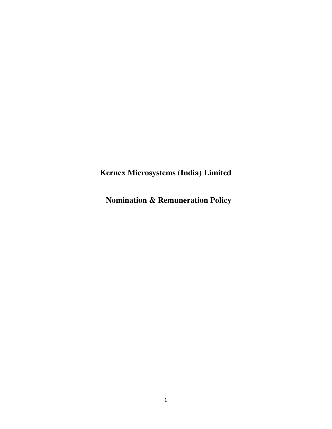**Kernex Microsystems (India) Limited**

**Nomination & Remuneration Policy**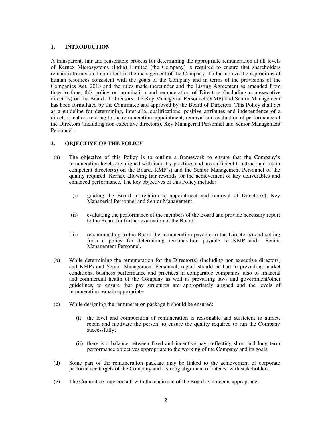## **1. INTRODUCTION**

A transparent, fair and reasonable process for determining the appropriate remuneration at all levels of Kernex Microsystems (India) Limited (the Company) is required to ensure that shareholders remain informed and confident in the management of the Company. To harmonize the aspirations of human resources consistent with the goals of the Company and in terms of the provisions of the Companies Act, 2013 and the rules made thereunder and the Listing Agreement as amended from time to time, this policy on nomination and remuneration of Directors (including non-executive directors) on the Board of Directors, the Key Managerial Personnel (KMP) and Senior Management has been formulated by the Committee and approved by the Board of Directors. This Policy shall act as a guideline for determining, inter-alia, qualifications, positive attributes and independence of a director, matters relating to the remuneration, appointment, removal and evaluation of performance of the Directors (including non-executive directors), Key Managerial Personnel and Senior Management Personnel.

# **2. OBJECTIVE OF THE POLICY**

- (a) The objective of this Policy is to outline a framework to ensure that the Company's remuneration levels are aligned with industry practices and are sufficient to attract and retain competent director(s) on the Board, KMP(s) and the Senior Management Personnel of the quality required, Kernex allowing fair rewards for the achievement of key deliverables and enhanced performance. The key objectives of this Policy include:
	- (i) guiding the Board in relation to appointment and removal of Director(s), Key Managerial Personnel and Senior Management;
	- (ii) evaluating the performance of the members of the Board and provide necessary report to the Board for further evaluation of the Board.
	- (iii) recommending to the Board the remuneration payable to the Director(s) and setting forth a policy for determining remuneration payable to KMP and Senior Management Personnel.
- (b) While determining the remuneration for the Director(s) (including non-executive directors) and KMPs and Senior Management Personnel, regard should be had to prevailing market conditions, business performance and practices in comparable companies, also to financial and commercial health of the Company as well as prevailing laws and government/other guidelines, to ensure that pay structures are appropriately aligned and the levels of remuneration remain appropriate.
- (c) While designing the remuneration package it should be ensured:
	- (i) the level and composition of remuneration is reasonable and sufficient to attract, retain and motivate the person, to ensure the quality required to run the Company successfully;
	- (ii) there is a balance between fixed and incentive pay, reflecting short and long term performance objectives appropriate to the working of the Company and its goals.
- (d) Some part of the remuneration package may be linked to the achievement of corporate performance targets of the Company and a strong alignment of interest with stakeholders.
- (e) The Committee may consult with the chairman of the Board as it deems appropriate.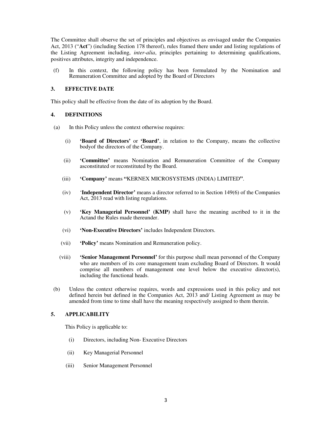The Committee shall observe the set of principles and objectives as envisaged under the Companies Act, 2013 ("**Act**") (including Section 178 thereof), rules framed there under and listing regulations of the Listing Agreement including, *inter-alia*, principles pertaining to determining qualifications, positives attributes, integrity and independence.

(f) In this context, the following policy has been formulated by the Nomination and Remuneration Committee and adopted by the Board of Directors

# **3. EFFECTIVE DATE**

This policy shall be effective from the date of its adoption by the Board.

# **4. DEFINITIONS**

- (a) In this Policy unless the context otherwise requires:
	- (i) **'Board of Directors'** or **'Board'**, in relation to the Company, means the collective bodyof the directors of the Company.
	- (ii) **'Committee'** means Nomination and Remuneration Committee of the Company asconstituted or reconstituted by the Board.
	- (iii) **'Company'** means **"**KERNEX MICROSYSTEMS (INDIA) LIMITED**"**.
	- (iv) '**Independent Director'** means a director referred to in Section 149(6) of the Companies Act, 2013 read with listing regulations.
	- (v) **'Key Managerial Personnel' (KMP)** shall have the meaning ascribed to it in the Actand the Rules made thereunder.
	- (vi) **'Non-Executive Directors'** includes Independent Directors.
	- (vii) **'Policy'** means Nomination and Remuneration policy.
	- (viii) **'Senior Management Personnel'** for this purpose shall mean personnel of the Company who are members of its core management team excluding Board of Directors. It would comprise all members of management one level below the executive director(s), including the functional heads.
- (b) Unless the context otherwise requires, words and expressions used in this policy and not defined herein but defined in the Companies Act, 2013 and/ Listing Agreement as may be amended from time to time shall have the meaning respectively assigned to them therein.

# **5. APPLICABILITY**

This Policy is applicable to:

- (i) Directors, including Non- Executive Directors
- (ii) Key Managerial Personnel
- (iii) Senior Management Personnel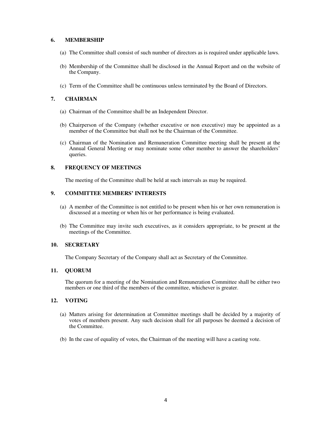# **6. MEMBERSHIP**

- (a) The Committee shall consist of such number of directors as is required under applicable laws.
- (b) Membership of the Committee shall be disclosed in the Annual Report and on the website of the Company.
- (c) Term of the Committee shall be continuous unless terminated by the Board of Directors.

# **7. CHAIRMAN**

- (a) Chairman of the Committee shall be an Independent Director.
- (b) Chairperson of the Company (whether executive or non executive) may be appointed as a member of the Committee but shall not be the Chairman of the Committee.
- (c) Chairman of the Nomination and Remuneration Committee meeting shall be present at the Annual General Meeting or may nominate some other member to answer the shareholders' queries.

# **8. FREQUENCY OF MEETINGS**

The meeting of the Committee shall be held at such intervals as may be required.

# **9. COMMITTEE MEMBERS' INTERESTS**

- (a) A member of the Committee is not entitled to be present when his or her own remuneration is discussed at a meeting or when his or her performance is being evaluated.
- (b) The Committee may invite such executives, as it considers appropriate, to be present at the meetings of the Committee.

# **10. SECRETARY**

The Company Secretary of the Company shall act as Secretary of the Committee.

# **11. QUORUM**

The quorum for a meeting of the Nomination and Remuneration Committee shall be either two members or one third of the members of the committee, whichever is greater.

# **12. VOTING**

- (a) Matters arising for determination at Committee meetings shall be decided by a majority of votes of members present. Any such decision shall for all purposes be deemed a decision of the Committee.
- (b) In the case of equality of votes, the Chairman of the meeting will have a casting vote.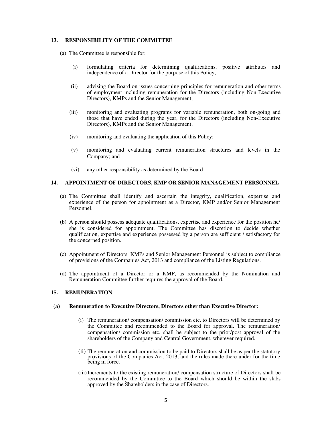## **13. RESPONSIBILITY OF THE COMMITTEE**

- (a) The Committee is responsible for:
	- (i) formulating criteria for determining qualifications, positive attributes and independence of a Director for the purpose of this Policy;
	- (ii) advising the Board on issues concerning principles for remuneration and other terms of employment including remuneration for the Directors (including Non-Executive Directors), KMPs and the Senior Management;
	- (iii) monitoring and evaluating programs for variable remuneration, both on-going and those that have ended during the year, for the Directors (including Non-Executive Directors), KMPs and the Senior Management;
	- (iv) monitoring and evaluating the application of this Policy;
	- (v) monitoring and evaluating current remuneration structures and levels in the Company; and
	- (vi) any other responsibility as determined by the Board

## **14. APPOINTMENT OF DIRECTORS, KMP OR SENIOR MANAGEMENT PERSONNEL**

- (a) The Committee shall identify and ascertain the integrity, qualification, expertise and experience of the person for appointment as a Director, KMP and/or Senior Management Personnel.
- (b) A person should possess adequate qualifications, expertise and experience for the position he/ she is considered for appointment. The Committee has discretion to decide whether qualification, expertise and experience possessed by a person are sufficient / satisfactory for the concerned position.
- (c) Appointment of Directors, KMPs and Senior Management Personnel is subject to compliance of provisions of the Companies Act, 2013 and compliance of the Listing Regulations.
- (d) The appointment of a Director or a KMP, as recommended by the Nomination and Remuneration Committee further requires the approval of the Board.

### **15. REMUNERATION**

#### **(a) Remuneration to Executive Directors, Directors other than Executive Director:**

- (i) The remuneration/ compensation/ commission etc. to Directors will be determined by the Committee and recommended to the Board for approval. The remuneration/ compensation/ commission etc. shall be subject to the prior/post approval of the shareholders of the Company and Central Government, wherever required.
- (ii) The remuneration and commission to be paid to Directors shall be as per the statutory provisions of the Companies Act, 2013, and the rules made there under for the time being in force.
- (iii)Increments to the existing remuneration/ compensation structure of Directors shall be recommended by the Committee to the Board which should be within the slabs approved by the Shareholders in the case of Directors.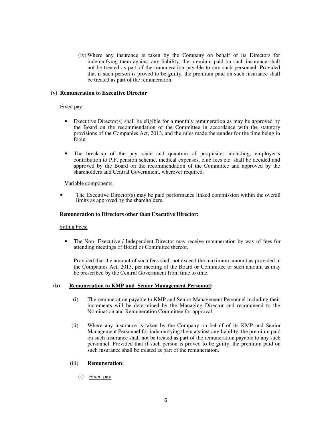(iv) Where any insurance is taken by the Company on behalf of its Directors for indemnifying them against any liability, the premium paid on such insurance shall not be treated as part of the remuneration payable to any such personnel. Provided that if such person is proved to be guilty, the premium paid on such insurance shall be treated as part of the remuneration.

## **(v) Remuneration to Executive Director**

## Fixed pay:

- Executive Director(s) shall be eligible for a monthly remuneration as may be approved by the Board on the recommendation of the Committee in accordance with the statutory provisions of the Companies Act, 2013, and the rules made thereunder for the time being in force.
- The break-up of the pay scale and quantum of perquisites including, employer's contribution to P.F, pension scheme, medical expenses, club fees etc. shall be decided and approved by the Board on the recommendation of the Committee and approved by the shareholders and Central Government, wherever required.

### Variable components:

• The Executive Director(s) may be paid performance linked commission within the overall limits as approved by the shareholders.

## **Remuneration to Directors other than Executive Director:**

### Sitting Fees:

• The Non- Executive / Independent Director may receive remuneration by way of fees for attending meetings of Board or Committee thereof.

Provided that the amount of such fees shall not exceed the maximum amount as provided in the Companies Act, 2013, per meeting of the Board or Committee or such amount as may be prescribed by the Central Government from time to time.

### **(b) Remuneration to KMP and Senior Management Personnel:**

- (i) The remuneration payable to KMP and Senior Management Personnel including their increments will be determined by the Managing Director and recommend to the Nomination and Remuneration Committee for approval.
- (ii) Where any insurance is taken by the Company on behalf of its KMP and Senior Management Personnel for indemnifying them against any liability, the premium paid on such insurance shall not be treated as part of the remuneration payable to any such personnel. Provided that if such person is proved to be guilty, the premium paid on such insurance shall be treated as part of the remuneration.

### (iii) **Remuneration:**

(i) Fixed pay: